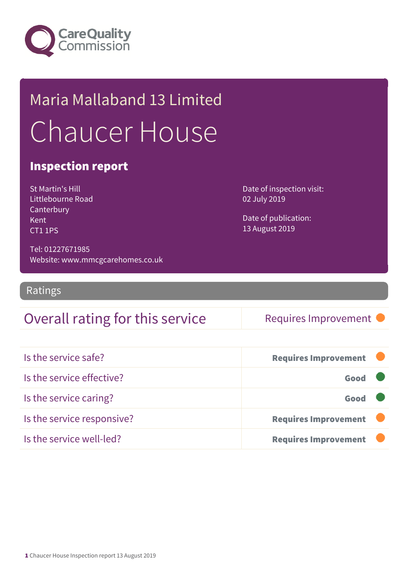

## Maria Mallaband 13 Limited Chaucer House

#### Inspection report

St Martin's Hill Littlebourne Road **Canterbury** Kent CT1 1PS

Date of inspection visit: 02 July 2019

Date of publication: 13 August 2019

Tel: 01227671985 Website: www.mmcgcarehomes.co.uk

Ratings

### Overall rating for this service Requires Improvement

| Is the service safe?       | <b>Requires Improvement</b> |
|----------------------------|-----------------------------|
| Is the service effective?  | Good                        |
| Is the service caring?     | Good                        |
| Is the service responsive? | <b>Requires Improvement</b> |
| Is the service well-led?   | <b>Requires Improvement</b> |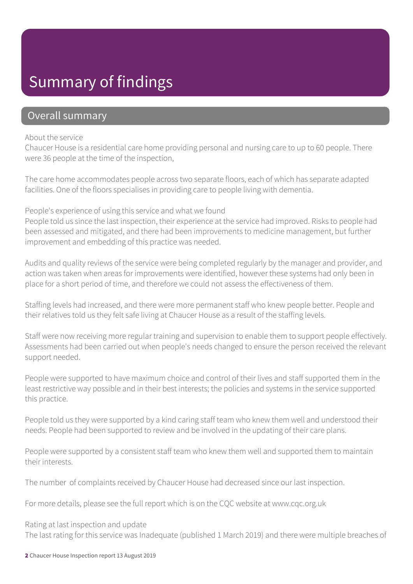### Summary of findings

#### Overall summary

#### About the service

Chaucer House is a residential care home providing personal and nursing care to up to 60 people. There were 36 people at the time of the inspection,

The care home accommodates people across two separate floors, each of which has separate adapted facilities. One of the floors specialises in providing care to people living with dementia.

People's experience of using this service and what we found

People told us since the last inspection, their experience at the service had improved. Risks to people had been assessed and mitigated, and there had been improvements to medicine management, but further improvement and embedding of this practice was needed.

Audits and quality reviews of the service were being completed regularly by the manager and provider, and action was taken when areas for improvements were identified, however these systems had only been in place for a short period of time, and therefore we could not assess the effectiveness of them.

Staffing levels had increased, and there were more permanent staff who knew people better. People and their relatives told us they felt safe living at Chaucer House as a result of the staffing levels.

Staff were now receiving more regular training and supervision to enable them to support people effectively. Assessments had been carried out when people's needs changed to ensure the person received the relevant support needed.

People were supported to have maximum choice and control of their lives and staff supported them in the least restrictive way possible and in their best interests; the policies and systems in the service supported this practice.

People told us they were supported by a kind caring staff team who knew them well and understood their needs. People had been supported to review and be involved in the updating of their care plans.

People were supported by a consistent staff team who knew them well and supported them to maintain their interests.

The number of complaints received by Chaucer House had decreased since our last inspection.

For more details, please see the full report which is on the CQC website at www.cqc.org.uk

Rating at last inspection and update The last rating for this service was Inadequate (published 1 March 2019) and there were multiple breaches of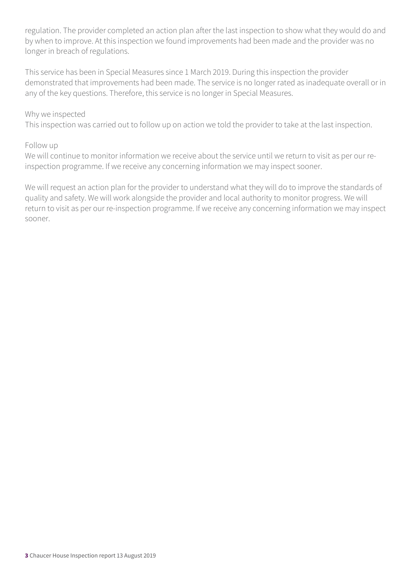regulation. The provider completed an action plan after the last inspection to show what they would do and by when to improve. At this inspection we found improvements had been made and the provider was no longer in breach of regulations.

This service has been in Special Measures since 1 March 2019. During this inspection the provider demonstrated that improvements had been made. The service is no longer rated as inadequate overall or in any of the key questions. Therefore, this service is no longer in Special Measures.

#### Why we inspected

This inspection was carried out to follow up on action we told the provider to take at the last inspection.

#### Follow up

We will continue to monitor information we receive about the service until we return to visit as per our reinspection programme. If we receive any concerning information we may inspect sooner.

We will request an action plan for the provider to understand what they will do to improve the standards of quality and safety. We will work alongside the provider and local authority to monitor progress. We will return to visit as per our re-inspection programme. If we receive any concerning information we may inspect sooner.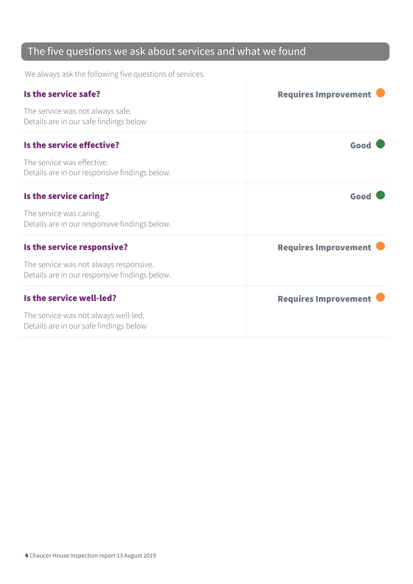### The five questions we ask about services and what we found

We always ask the following five questions of services.

| Is the service safe?                                                                    | <b>Requires Improvement</b> |
|-----------------------------------------------------------------------------------------|-----------------------------|
| The service was not always safe.<br>Details are in our safe findings below              |                             |
| Is the service effective?                                                               | Good                        |
| The service was effective.<br>Details are in our responsive findings below.             |                             |
| Is the service caring?                                                                  | Good                        |
| The service was caring.<br>Details are in our responsive findings below.                |                             |
| Is the service responsive?                                                              | <b>Requires Improvement</b> |
| The service was not always responsive.<br>Details are in our responsive findings below. |                             |
| Is the service well-led?                                                                | <b>Requires Improvement</b> |
| The service was not always well-led.<br>Details are in our safe findings below          |                             |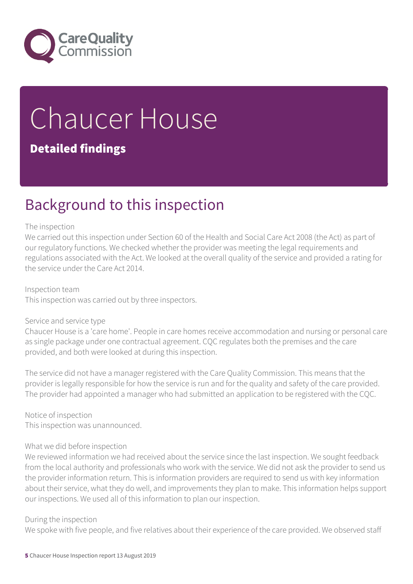

# Chaucer House

#### Detailed findings

### Background to this inspection

#### The inspection

We carried out this inspection under Section 60 of the Health and Social Care Act 2008 (the Act) as part of our regulatory functions. We checked whether the provider was meeting the legal requirements and regulations associated with the Act. We looked at the overall quality of the service and provided a rating for the service under the Care Act 2014.

Inspection team This inspection was carried out by three inspectors.

#### Service and service type

Chaucer House is a 'care home'. People in care homes receive accommodation and nursing or personal care as single package under one contractual agreement. CQC regulates both the premises and the care provided, and both were looked at during this inspection.

The service did not have a manager registered with the Care Quality Commission. This means that the provider is legally responsible for how the service is run and for the quality and safety of the care provided. The provider had appointed a manager who had submitted an application to be registered with the CQC.

Notice of inspection This inspection was unannounced.

#### What we did before inspection

We reviewed information we had received about the service since the last inspection. We sought feedback from the local authority and professionals who work with the service. We did not ask the provider to send us the provider information return. This is information providers are required to send us with key information about their service, what they do well, and improvements they plan to make. This information helps support our inspections. We used all of this information to plan our inspection.

#### During the inspection

We spoke with five people, and five relatives about their experience of the care provided. We observed staff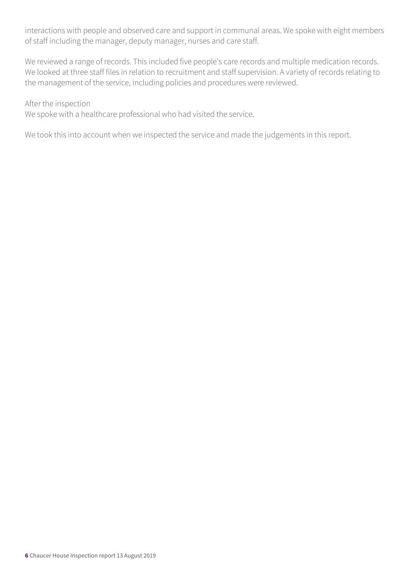interactions with people and observed care and support in communal areas. We spoke with eight members of staff including the manager, deputy manager, nurses and care staff.

We reviewed a range of records. This included five people's care records and multiple medication records. We looked at three staff files in relation to recruitment and staff supervision. A variety of records relating to the management of the service, including policies and procedures were reviewed.

After the inspection

We spoke with a healthcare professional who had visited the service.

We took this into account when we inspected the service and made the judgements in this report.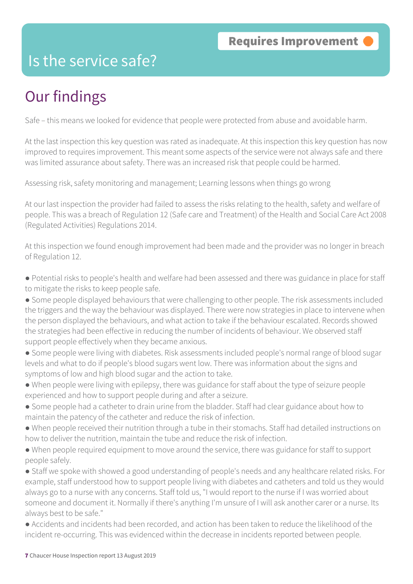### Is the service safe?

### Our findings

Safe – this means we looked for evidence that people were protected from abuse and avoidable harm.

At the last inspection this key question was rated as inadequate. At this inspection this key question has now improved to requires improvement. This meant some aspects of the service were not always safe and there was limited assurance about safety. There was an increased risk that people could be harmed.

Assessing risk, safety monitoring and management; Learning lessons when things go wrong

At our last inspection the provider had failed to assess the risks relating to the health, safety and welfare of people. This was a breach of Regulation 12 (Safe care and Treatment) of the Health and Social Care Act 2008 (Regulated Activities) Regulations 2014.

At this inspection we found enough improvement had been made and the provider was no longer in breach of Regulation 12.

- Potential risks to people's health and welfare had been assessed and there was guidance in place for staff to mitigate the risks to keep people safe.
- Some people displayed behaviours that were challenging to other people. The risk assessments included the triggers and the way the behaviour was displayed. There were now strategies in place to intervene when the person displayed the behaviours, and what action to take if the behaviour escalated. Records showed the strategies had been effective in reducing the number of incidents of behaviour. We observed staff support people effectively when they became anxious.
- Some people were living with diabetes. Risk assessments included people's normal range of blood sugar levels and what to do if people's blood sugars went low. There was information about the signs and symptoms of low and high blood sugar and the action to take.
- When people were living with epilepsy, there was guidance for staff about the type of seizure people experienced and how to support people during and after a seizure.
- Some people had a catheter to drain urine from the bladder. Staff had clear guidance about how to maintain the patency of the catheter and reduce the risk of infection.
- When people received their nutrition through a tube in their stomachs. Staff had detailed instructions on how to deliver the nutrition, maintain the tube and reduce the risk of infection.
- When people required equipment to move around the service, there was guidance for staff to support people safely.
- Staff we spoke with showed a good understanding of people's needs and any healthcare related risks. For example, staff understood how to support people living with diabetes and catheters and told us they would always go to a nurse with any concerns. Staff told us, "I would report to the nurse if I was worried about someone and document it. Normally if there's anything I'm unsure of I will ask another carer or a nurse. Its always best to be safe."
- Accidents and incidents had been recorded, and action has been taken to reduce the likelihood of the incident re-occurring. This was evidenced within the decrease in incidents reported between people.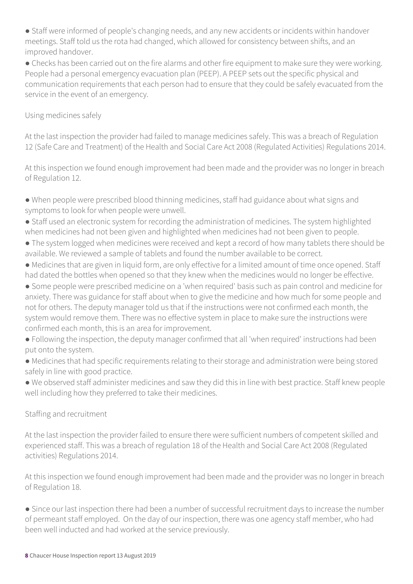● Staff were informed of people's changing needs, and any new accidents or incidents within handover meetings. Staff told us the rota had changed, which allowed for consistency between shifts, and an improved handover.

• Checks has been carried out on the fire alarms and other fire equipment to make sure they were working. People had a personal emergency evacuation plan (PEEP). A PEEP sets out the specific physical and communication requirements that each person had to ensure that they could be safely evacuated from the service in the event of an emergency.

#### Using medicines safely

At the last inspection the provider had failed to manage medicines safely. This was a breach of Regulation 12 (Safe Care and Treatment) of the Health and Social Care Act 2008 (Regulated Activities) Regulations 2014.

At this inspection we found enough improvement had been made and the provider was no longer in breach of Regulation 12.

● When people were prescribed blood thinning medicines, staff had guidance about what signs and symptoms to look for when people were unwell.

- Staff used an electronic system for recording the administration of medicines. The system highlighted when medicines had not been given and highlighted when medicines had not been given to people.
- The system logged when medicines were received and kept a record of how many tablets there should be available. We reviewed a sample of tablets and found the number available to be correct.
- Medicines that are given in liquid form, are only effective for a limited amount of time once opened. Staff had dated the bottles when opened so that they knew when the medicines would no longer be effective.
- Some people were prescribed medicine on a 'when required' basis such as pain control and medicine for anxiety. There was guidance for staff about when to give the medicine and how much for some people and not for others. The deputy manager told us that if the instructions were not confirmed each month, the system would remove them. There was no effective system in place to make sure the instructions were confirmed each month, this is an area for improvement.

● Following the inspection, the deputy manager confirmed that all 'when required' instructions had been put onto the system.

● Medicines that had specific requirements relating to their storage and administration were being stored safely in line with good practice.

● We observed staff administer medicines and saw they did this in line with best practice. Staff knew people well including how they preferred to take their medicines.

#### Staffing and recruitment

At the last inspection the provider failed to ensure there were sufficient numbers of competent skilled and experienced staff. This was a breach of regulation 18 of the Health and Social Care Act 2008 (Regulated activities) Regulations 2014.

At this inspection we found enough improvement had been made and the provider was no longer in breach of Regulation 18.

● Since our last inspection there had been a number of successful recruitment days to increase the number of permeant staff employed. On the day of our inspection, there was one agency staff member, who had been well inducted and had worked at the service previously.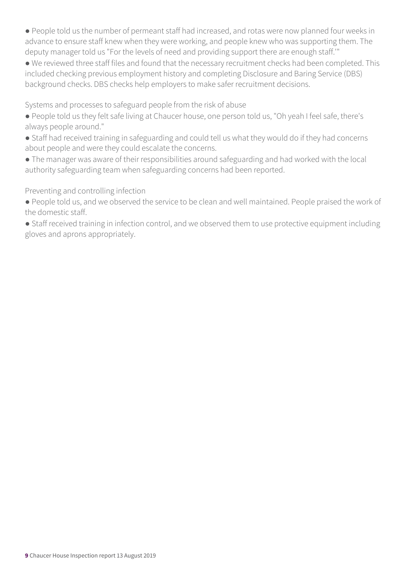● People told us the number of permeant staff had increased, and rotas were now planned four weeks in advance to ensure staff knew when they were working, and people knew who was supporting them. The deputy manager told us "For the levels of need and providing support there are enough staff.'"

● We reviewed three staff files and found that the necessary recruitment checks had been completed. This included checking previous employment history and completing Disclosure and Baring Service (DBS) background checks. DBS checks help employers to make safer recruitment decisions.

Systems and processes to safeguard people from the risk of abuse

- People told us they felt safe living at Chaucer house, one person told us, "Oh yeah I feel safe, there's always people around."
- Staff had received training in safeguarding and could tell us what they would do if they had concerns about people and were they could escalate the concerns.
- The manager was aware of their responsibilities around safeguarding and had worked with the local authority safeguarding team when safeguarding concerns had been reported.

Preventing and controlling infection

- People told us, and we observed the service to be clean and well maintained. People praised the work of the domestic staff.
- Staff received training in infection control, and we observed them to use protective equipment including gloves and aprons appropriately.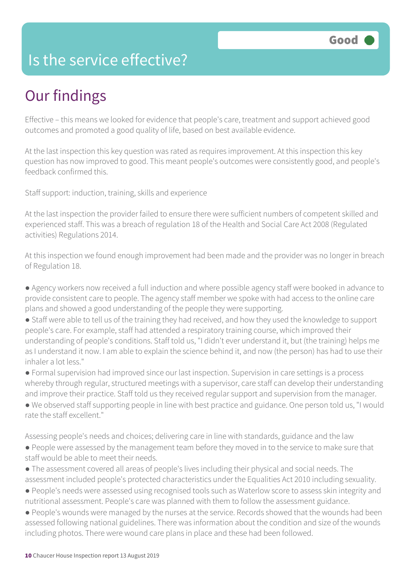### Is the service effective?

### Our findings

Effective – this means we looked for evidence that people's care, treatment and support achieved good outcomes and promoted a good quality of life, based on best available evidence.

At the last inspection this key question was rated as requires improvement. At this inspection this key question has now improved to good. This meant people's outcomes were consistently good, and people's feedback confirmed this.

Staff support: induction, training, skills and experience

At the last inspection the provider failed to ensure there were sufficient numbers of competent skilled and experienced staff. This was a breach of regulation 18 of the Health and Social Care Act 2008 (Regulated activities) Regulations 2014.

At this inspection we found enough improvement had been made and the provider was no longer in breach of Regulation 18.

- Agency workers now received a full induction and where possible agency staff were booked in advance to provide consistent care to people. The agency staff member we spoke with had access to the online care plans and showed a good understanding of the people they were supporting.
- Staff were able to tell us of the training they had received, and how they used the knowledge to support people's care. For example, staff had attended a respiratory training course, which improved their understanding of people's conditions. Staff told us, "I didn't ever understand it, but (the training) helps me as I understand it now. I am able to explain the science behind it, and now (the person) has had to use their inhaler a lot less."
- Formal supervision had improved since our last inspection. Supervision in care settings is a process whereby through regular, structured meetings with a supervisor, care staff can develop their understanding and improve their practice. Staff told us they received regular support and supervision from the manager.
- We observed staff supporting people in line with best practice and guidance. One person told us, "I would rate the staff excellent."

Assessing people's needs and choices; delivering care in line with standards, guidance and the law

- People were assessed by the management team before they moved in to the service to make sure that staff would be able to meet their needs.
- The assessment covered all areas of people's lives including their physical and social needs. The assessment included people's protected characteristics under the Equalities Act 2010 including sexuality.
- People's needs were assessed using recognised tools such as Waterlow score to assess skin integrity and nutritional assessment. People's care was planned with them to follow the assessment guidance.
- People's wounds were managed by the nurses at the service. Records showed that the wounds had been assessed following national guidelines. There was information about the condition and size of the wounds including photos. There were wound care plans in place and these had been followed.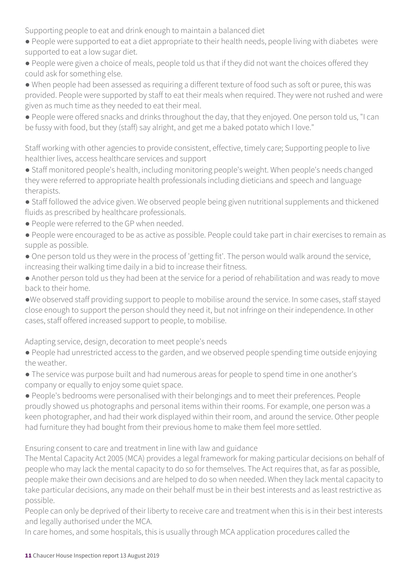Supporting people to eat and drink enough to maintain a balanced diet

- People were supported to eat a diet appropriate to their health needs, people living with diabetes were supported to eat a low sugar diet.
- People were given a choice of meals, people told us that if they did not want the choices offered they could ask for something else.
- When people had been assessed as requiring a different texture of food such as soft or puree, this was provided. People were supported by staff to eat their meals when required. They were not rushed and were given as much time as they needed to eat their meal.
- People were offered snacks and drinks throughout the day, that they enjoyed. One person told us, "I can be fussy with food, but they (staff) say alright, and get me a baked potato which I love."

Staff working with other agencies to provide consistent, effective, timely care; Supporting people to live healthier lives, access healthcare services and support

- Staff monitored people's health, including monitoring people's weight. When people's needs changed they were referred to appropriate health professionals including dieticians and speech and language therapists.
- Staff followed the advice given. We observed people being given nutritional supplements and thickened fluids as prescribed by healthcare professionals.
- People were referred to the GP when needed.
- People were encouraged to be as active as possible. People could take part in chair exercises to remain as supple as possible.
- One person told us they were in the process of 'getting fit'. The person would walk around the service, increasing their walking time daily in a bid to increase their fitness.
- Another person told us they had been at the service for a period of rehabilitation and was ready to move back to their home.
- ●We observed staff providing support to people to mobilise around the service. In some cases, staff stayed close enough to support the person should they need it, but not infringe on their independence. In other cases, staff offered increased support to people, to mobilise.

Adapting service, design, decoration to meet people's needs

- People had unrestricted access to the garden, and we observed people spending time outside enjoying the weather.
- The service was purpose built and had numerous areas for people to spend time in one another's company or equally to enjoy some quiet space.
- People's bedrooms were personalised with their belongings and to meet their preferences. People proudly showed us photographs and personal items within their rooms. For example, one person was a keen photographer, and had their work displayed within their room, and around the service. Other people had furniture they had bought from their previous home to make them feel more settled.

Ensuring consent to care and treatment in line with law and guidance

The Mental Capacity Act 2005 (MCA) provides a legal framework for making particular decisions on behalf of people who may lack the mental capacity to do so for themselves. The Act requires that, as far as possible, people make their own decisions and are helped to do so when needed. When they lack mental capacity to take particular decisions, any made on their behalf must be in their best interests and as least restrictive as possible.

People can only be deprived of their liberty to receive care and treatment when this is in their best interests and legally authorised under the MCA.

In care homes, and some hospitals, this is usually through MCA application procedures called the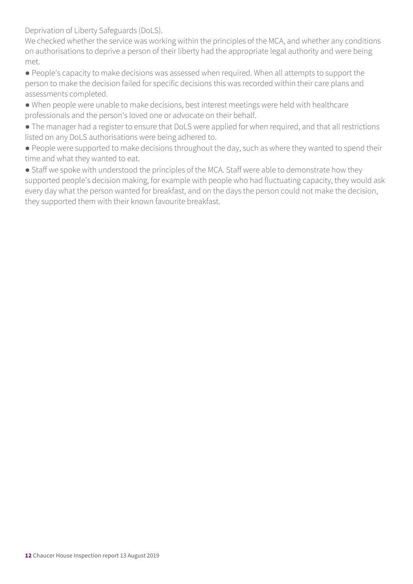Deprivation of Liberty Safeguards (DoLS).

We checked whether the service was working within the principles of the MCA, and whether any conditions on authorisations to deprive a person of their liberty had the appropriate legal authority and were being met.

● People's capacity to make decisions was assessed when required. When all attempts to support the person to make the decision failed for specific decisions this was recorded within their care plans and assessments completed.

- When people were unable to make decisions, best interest meetings were held with healthcare professionals and the person's loved one or advocate on their behalf.
- The manager had a register to ensure that DoLS were applied for when required, and that all restrictions listed on any DoLS authorisations were being adhered to.
- People were supported to make decisions throughout the day, such as where they wanted to spend their time and what they wanted to eat.

• Staff we spoke with understood the principles of the MCA. Staff were able to demonstrate how they supported people's decision making, for example with people who had fluctuating capacity, they would ask every day what the person wanted for breakfast, and on the days the person could not make the decision, they supported them with their known favourite breakfast.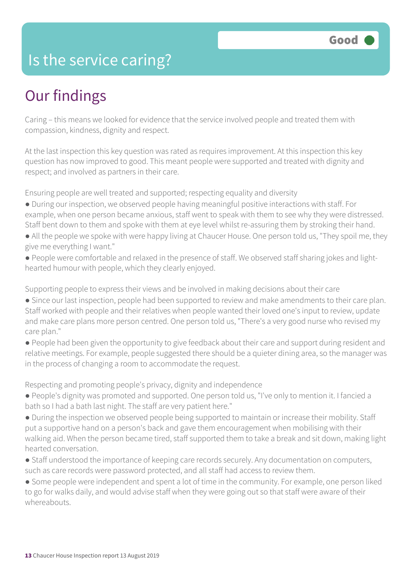### Is the service caring?

### Our findings

Caring – this means we looked for evidence that the service involved people and treated them with compassion, kindness, dignity and respect.

At the last inspection this key question was rated as requires improvement. At this inspection this key question has now improved to good. This meant people were supported and treated with dignity and respect; and involved as partners in their care.

Ensuring people are well treated and supported; respecting equality and diversity

- During our inspection, we observed people having meaningful positive interactions with staff. For example, when one person became anxious, staff went to speak with them to see why they were distressed. Staff bent down to them and spoke with them at eye level whilst re-assuring them by stroking their hand.
- All the people we spoke with were happy living at Chaucer House. One person told us, "They spoil me, they give me everything I want."
- People were comfortable and relaxed in the presence of staff. We observed staff sharing jokes and lighthearted humour with people, which they clearly enjoyed.

Supporting people to express their views and be involved in making decisions about their care

- Since our last inspection, people had been supported to review and make amendments to their care plan. Staff worked with people and their relatives when people wanted their loved one's input to review, update and make care plans more person centred. One person told us, "There's a very good nurse who revised my care plan."
- People had been given the opportunity to give feedback about their care and support during resident and relative meetings. For example, people suggested there should be a quieter dining area, so the manager was in the process of changing a room to accommodate the request.

Respecting and promoting people's privacy, dignity and independence

- People's dignity was promoted and supported. One person told us, "I've only to mention it. I fancied a bath so I had a bath last night. The staff are very patient here."
- During the inspection we observed people being supported to maintain or increase their mobility. Staff put a supportive hand on a person's back and gave them encouragement when mobilising with their walking aid. When the person became tired, staff supported them to take a break and sit down, making light hearted conversation.
- Staff understood the importance of keeping care records securely. Any documentation on computers, such as care records were password protected, and all staff had access to review them.

● Some people were independent and spent a lot of time in the community. For example, one person liked to go for walks daily, and would advise staff when they were going out so that staff were aware of their whereabouts.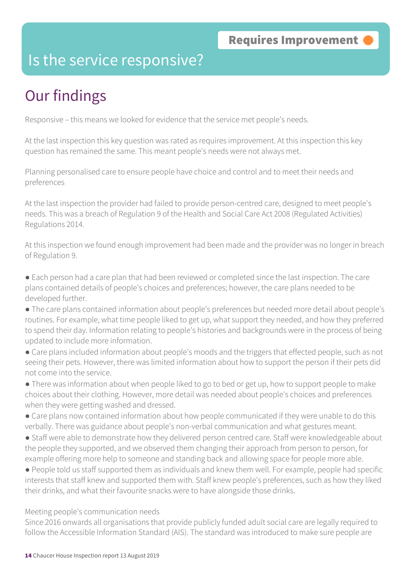### Is the service responsive?

### Our findings

Responsive – this means we looked for evidence that the service met people's needs.

At the last inspection this key question was rated as requires improvement. At this inspection this key question has remained the same. This meant people's needs were not always met.

Planning personalised care to ensure people have choice and control and to meet their needs and preferences

At the last inspection the provider had failed to provide person-centred care, designed to meet people's needs. This was a breach of Regulation 9 of the Health and Social Care Act 2008 (Regulated Activities) Regulations 2014.

At this inspection we found enough improvement had been made and the provider was no longer in breach of Regulation 9.

- Each person had a care plan that had been reviewed or completed since the last inspection. The care plans contained details of people's choices and preferences; however, the care plans needed to be developed further.
- The care plans contained information about people's preferences but needed more detail about people's routines. For example, what time people liked to get up, what support they needed, and how they preferred to spend their day. Information relating to people's histories and backgrounds were in the process of being updated to include more information.
- Care plans included information about people's moods and the triggers that effected people, such as not seeing their pets. However, there was limited information about how to support the person if their pets did not come into the service.
- There was information about when people liked to go to bed or get up, how to support people to make choices about their clothing. However, more detail was needed about people's choices and preferences when they were getting washed and dressed.
- Care plans now contained information about how people communicated if they were unable to do this verbally. There was guidance about people's non-verbal communication and what gestures meant.
- Staff were able to demonstrate how they delivered person centred care. Staff were knowledgeable about the people they supported, and we observed them changing their approach from person to person, for example offering more help to someone and standing back and allowing space for people more able.
- People told us staff supported them as individuals and knew them well. For example, people had specific interests that staff knew and supported them with. Staff knew people's preferences, such as how they liked their drinks, and what their favourite snacks were to have alongside those drinks.

#### Meeting people's communication needs

Since 2016 onwards all organisations that provide publicly funded adult social care are legally required to follow the Accessible Information Standard (AIS). The standard was introduced to make sure people are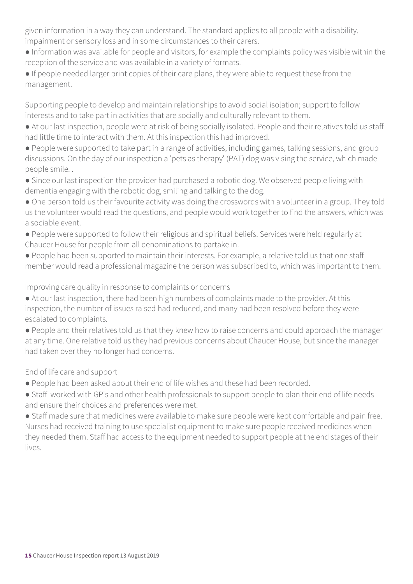given information in a way they can understand. The standard applies to all people with a disability, impairment or sensory loss and in some circumstances to their carers.

- Information was available for people and visitors, for example the complaints policy was visible within the reception of the service and was available in a variety of formats.
- If people needed larger print copies of their care plans, they were able to request these from the management.

Supporting people to develop and maintain relationships to avoid social isolation; support to follow interests and to take part in activities that are socially and culturally relevant to them.

- At our last inspection, people were at risk of being socially isolated. People and their relatives told us staff had little time to interact with them. At this inspection this had improved.
- People were supported to take part in a range of activities, including games, talking sessions, and group discussions. On the day of our inspection a 'pets as therapy' (PAT) dog was vising the service, which made people smile. .
- Since our last inspection the provider had purchased a robotic dog. We observed people living with dementia engaging with the robotic dog, smiling and talking to the dog.
- One person told us their favourite activity was doing the crosswords with a volunteer in a group. They told us the volunteer would read the questions, and people would work together to find the answers, which was a sociable event.
- People were supported to follow their religious and spiritual beliefs. Services were held regularly at Chaucer House for people from all denominations to partake in.
- People had been supported to maintain their interests. For example, a relative told us that one staff member would read a professional magazine the person was subscribed to, which was important to them.

Improving care quality in response to complaints or concerns

- At our last inspection, there had been high numbers of complaints made to the provider. At this inspection, the number of issues raised had reduced, and many had been resolved before they were escalated to complaints.
- People and their relatives told us that they knew how to raise concerns and could approach the manager at any time. One relative told us they had previous concerns about Chaucer House, but since the manager had taken over they no longer had concerns.

End of life care and support

- People had been asked about their end of life wishes and these had been recorded.
- Staff worked with GP's and other health professionals to support people to plan their end of life needs and ensure their choices and preferences were met.

● Staff made sure that medicines were available to make sure people were kept comfortable and pain free. Nurses had received training to use specialist equipment to make sure people received medicines when they needed them. Staff had access to the equipment needed to support people at the end stages of their lives.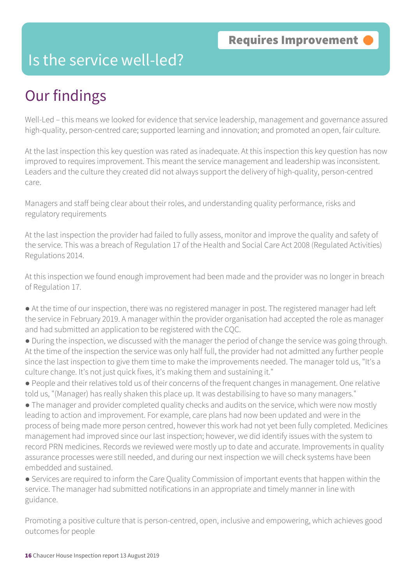### Is the service well-led?

### Our findings

Well-Led – this means we looked for evidence that service leadership, management and governance assured high-quality, person-centred care; supported learning and innovation; and promoted an open, fair culture.

At the last inspection this key question was rated as inadequate. At this inspection this key question has now improved to requires improvement. This meant the service management and leadership was inconsistent. Leaders and the culture they created did not always support the delivery of high-quality, person-centred care.

Managers and staff being clear about their roles, and understanding quality performance, risks and regulatory requirements

At the last inspection the provider had failed to fully assess, monitor and improve the quality and safety of the service. This was a breach of Regulation 17 of the Health and Social Care Act 2008 (Regulated Activities) Regulations 2014.

At this inspection we found enough improvement had been made and the provider was no longer in breach of Regulation 17.

- At the time of our inspection, there was no registered manager in post. The registered manager had left the service in February 2019. A manager within the provider organisation had accepted the role as manager and had submitted an application to be registered with the CQC.
- During the inspection, we discussed with the manager the period of change the service was going through. At the time of the inspection the service was only half full, the provider had not admitted any further people since the last inspection to give them time to make the improvements needed. The manager told us, "It's a culture change. It's not just quick fixes, it's making them and sustaining it."
- People and their relatives told us of their concerns of the frequent changes in management. One relative told us, "(Manager) has really shaken this place up. It was destabilising to have so many managers."
- The manager and provider completed quality checks and audits on the service, which were now mostly leading to action and improvement. For example, care plans had now been updated and were in the process of being made more person centred, however this work had not yet been fully completed. Medicines management had improved since our last inspection; however, we did identify issues with the system to record PRN medicines. Records we reviewed were mostly up to date and accurate. Improvements in quality assurance processes were still needed, and during our next inspection we will check systems have been embedded and sustained.
- Services are required to inform the Care Quality Commission of important events that happen within the service. The manager had submitted notifications in an appropriate and timely manner in line with guidance.

Promoting a positive culture that is person-centred, open, inclusive and empowering, which achieves good outcomes for people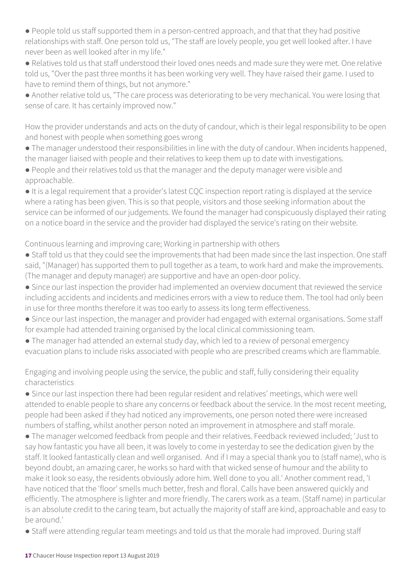● People told us staff supported them in a person-centred approach, and that that they had positive relationships with staff. One person told us, "The staff are lovely people, you get well looked after. I have never been as well looked after in my life."

● Relatives told us that staff understood their loved ones needs and made sure they were met. One relative told us, "Over the past three months it has been working very well. They have raised their game. I used to have to remind them of things, but not anymore."

● Another relative told us, "The care process was deteriorating to be very mechanical. You were losing that sense of care. It has certainly improved now."

How the provider understands and acts on the duty of candour, which is their legal responsibility to be open and honest with people when something goes wrong

● The manager understood their responsibilities in line with the duty of candour. When incidents happened, the manager liaised with people and their relatives to keep them up to date with investigations.

● People and their relatives told us that the manager and the deputy manager were visible and approachable.

● It is a legal requirement that a provider's latest CQC inspection report rating is displayed at the service where a rating has been given. This is so that people, visitors and those seeking information about the service can be informed of our judgements. We found the manager had conspicuously displayed their rating on a notice board in the service and the provider had displayed the service's rating on their website.

Continuous learning and improving care; Working in partnership with others

● Staff told us that they could see the improvements that had been made since the last inspection. One staff said, "(Manager) has supported them to pull together as a team, to work hard and make the improvements. (The manager and deputy manager) are supportive and have an open-door policy.

- Since our last inspection the provider had implemented an overview document that reviewed the service including accidents and incidents and medicines errors with a view to reduce them. The tool had only been in use for three months therefore it was too early to assess its long term effectiveness.
- Since our last inspection, the manager and provider had engaged with external organisations. Some staff for example had attended training organised by the local clinical commissioning team.
- The manager had attended an external study day, which led to a review of personal emergency evacuation plans to include risks associated with people who are prescribed creams which are flammable.

Engaging and involving people using the service, the public and staff, fully considering their equality characteristics

● Since our last inspection there had been regular resident and relatives' meetings, which were well attended to enable people to share any concerns or feedback about the service. In the most recent meeting, people had been asked if they had noticed any improvements, one person noted there were increased numbers of staffing, whilst another person noted an improvement in atmosphere and staff morale.

● The manager welcomed feedback from people and their relatives. Feedback reviewed included; 'Just to say how fantastic you have all been, it was lovely to come in yesterday to see the dedication given by the staff. It looked fantastically clean and well organised. And if I may a special thank you to (staff name), who is beyond doubt, an amazing carer, he works so hard with that wicked sense of humour and the ability to make it look so easy, the residents obviously adore him. Well done to you all.' Another comment read, 'I have noticed that the 'floor' smells much better, fresh and floral. Calls have been answered quickly and efficiently. The atmosphere is lighter and more friendly. The carers work as a team. (Staff name) in particular is an absolute credit to the caring team, but actually the majority of staff are kind, approachable and easy to be around.'

● Staff were attending regular team meetings and told us that the morale had improved. During staff